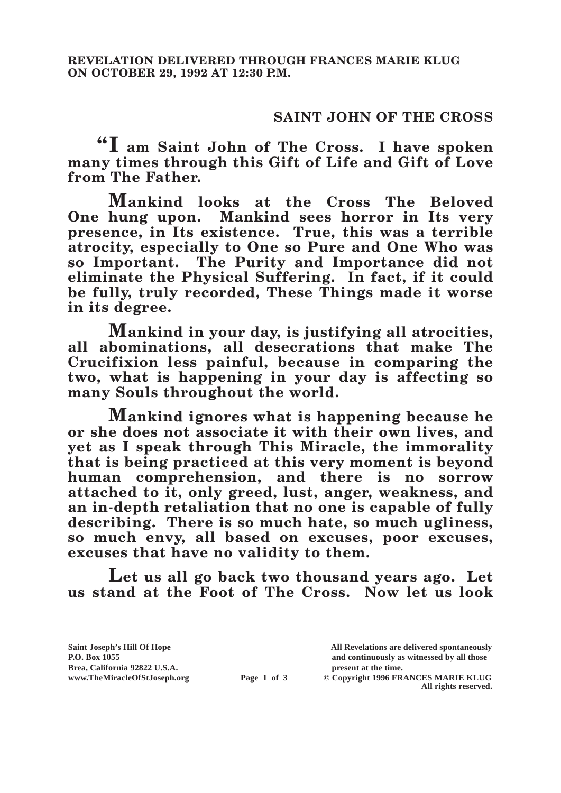## **SAINT JOHN OF THE CROSS**

**"I am Saint John of The Cross. I have spoken many times through this Gift of Life and Gift of Love from The Father.**

**Mankind looks at the Cross The Beloved One hung upon. Mankind sees horror in Its very presence, in Its existence. True, this was a terrible atrocity, especially to One so Pure and One Who was so Important. The Purity and Importance did not eliminate the Physical Suffering. In fact, if it could be fully, truly recorded, These Things made it worse in its degree.**

**Mankind in your day, is justifying all atrocities, all abominations, all desecrations that make The Crucifixion less painful, because in comparing the two, what is happening in your day is affecting so many Souls throughout the world.**

**Mankind ignores what is happening because he or she does not associate it with their own lives, and yet as I speak through This Miracle, the immorality that is being practiced at this very moment is beyond human comprehension, and there is no sorrow attached to it, only greed, lust, anger, weakness, and an in-depth retaliation that no one is capable of fully describing. There is so much hate, so much ugliness, so much envy, all based on excuses, poor excuses, excuses that have no validity to them.**

**Let us all go back two thousand years ago. Let us stand at the Foot of The Cross. Now let us look** 

Brea, California 92822 U.S.A.<br>
www.TheMiracleOfStJoseph.org<br> **Page 1 of 3** © Copyright 1996 FR.

**Saint Joseph's Hill Of Hope All Revelations are delivered spontaneously P.O. Box 1055 and continuously as witnessed by all those** 

**Page 1 of 3** © Copyright 1996 FRANCES MARIE KLUG **All rights reserved.**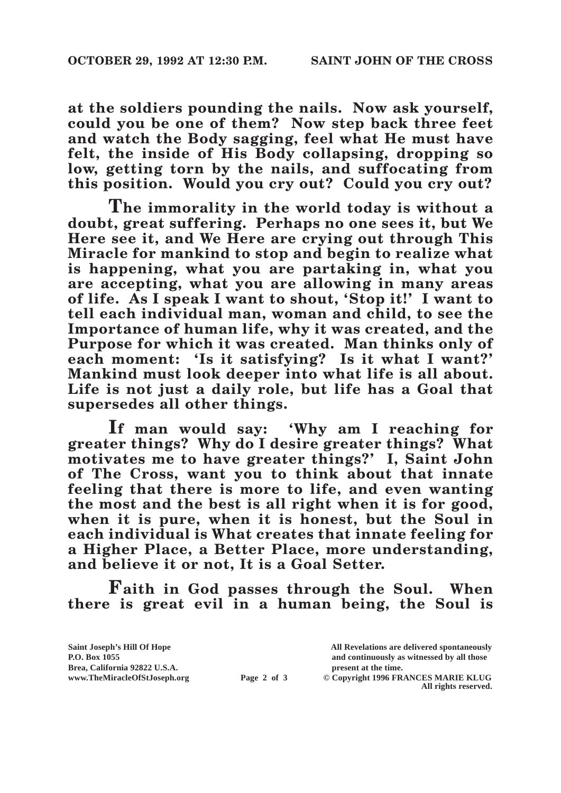**at the soldiers pounding the nails. Now ask yourself, could you be one of them? Now step back three feet and watch the Body sagging, feel what He must have felt, the inside of His Body collapsing, dropping so low, getting torn by the nails, and suffocating from this position. Would you cry out? Could you cry out?**

**The immorality in the world today is without a doubt, great suffering. Perhaps no one sees it, but We Here see it, and We Here are crying out through This Miracle for mankind to stop and begin to realize what is happening, what you are partaking in, what you are accepting, what you are allowing in many areas of life. As I speak I want to shout, 'Stop it!' I want to tell each individual man, woman and child, to see the Importance of human life, why it was created, and the Purpose for which it was created. Man thinks only of each moment: 'Is it satisfying? Is it what I want?' Mankind must look deeper into what life is all about. Life is not just a daily role, but life has a Goal that supersedes all other things.**

**If man would say: 'Why am I reaching for greater things? Why do I desire greater things? What motivates me to have greater things?' I, Saint John of The Cross, want you to think about that innate feeling that there is more to life, and even wanting the most and the best is all right when it is for good, when it is pure, when it is honest, but the Soul in each individual is What creates that innate feeling for a Higher Place, a Better Place, more understanding, and believe it or not, It is a Goal Setter.**

**Faith in God passes through the Soul. When there is great evil in a human being, the Soul is** 

| Saint Joseph's Hill Of Hope   |             | All Revelations are delivered spontaneously |
|-------------------------------|-------------|---------------------------------------------|
| P.O. Box 1055                 |             | and continuously as witnessed by all those  |
| Brea, California 92822 U.S.A. |             | present at the time.                        |
| www.TheMiracleOfStJoseph.org  | Page 2 of 3 | © Copyright 1996 FRANCES MARIE KLUG         |
|                               |             | All rights reserved.                        |